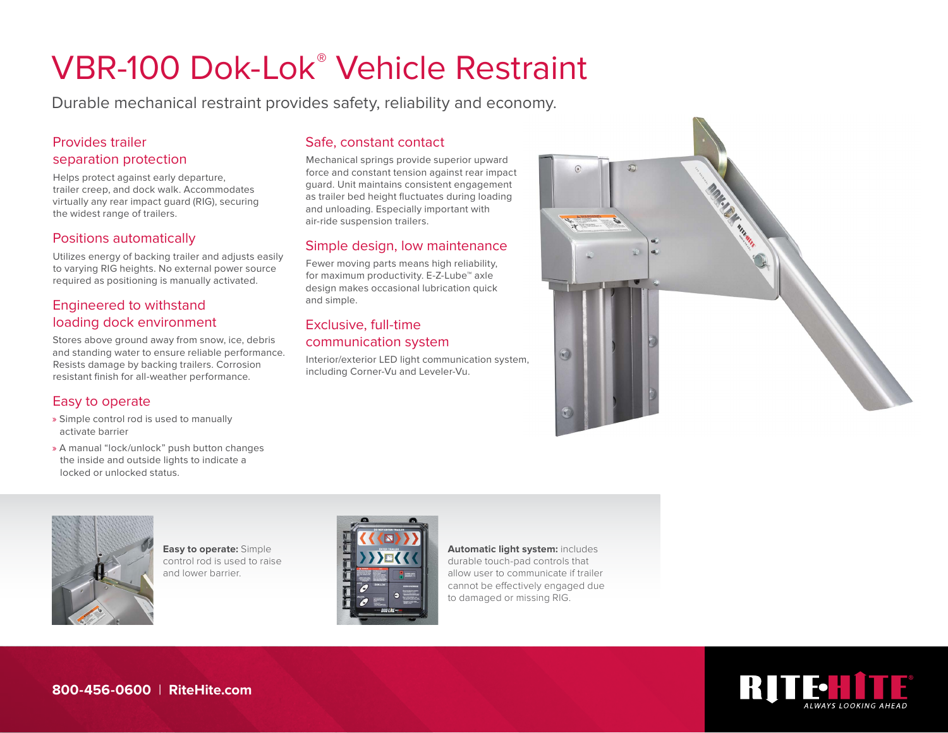# VBR-100 Dok-Lok® Vehicle Restraint

Durable mechanical restraint provides safety, reliability and economy.

#### Provides trailer separation protection

Helps protect against early departure, trailer creep, and dock walk. Accommodates virtually any rear impact guard (RIG), securing the widest range of trailers.

#### Positions automatically

Utilizes energy of backing trailer and adjusts easily to varying RIG heights. No external power source required as positioning is manually activated.

# Engineered to withstand loading dock environment

Stores above ground away from snow, ice, debris and standing water to ensure reliable performance. Resists damage by backing trailers. Corrosion resistant finish for all-weather performance.

## Easy to operate

- » Simple control rod is used to manually activate barrier
- » A manual "lock/unlock" push button changes the inside and outside lights to indicate a locked or unlocked status.

## Safe, constant contact

Mechanical springs provide superior upward force and constant tension against rear impact guard. Unit maintains consistent engagement as trailer bed height fluctuates during loading and unloading. Especially important with air-ride suspension trailers.

## Simple design, low maintenance

Fewer moving parts means high reliability, for maximum productivity. E-Z-Lube™ axle design makes occasional lubrication quick and simple.

#### Exclusive, full-time communication system

Interior/exterior LED light communication system, including Corner-Vu and Leveler-Vu.





**Easy to operate:** Simple control rod is used to raise and lower barrier.



**Automatic light system:** includes durable touch-pad controls that allow user to communicate if trailer cannot be effectively engaged due to damaged or missing RIG.